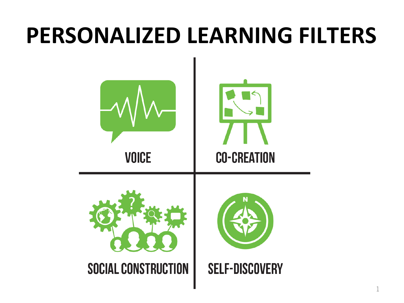### **PERSONALIZED LEARNING FILTERS**

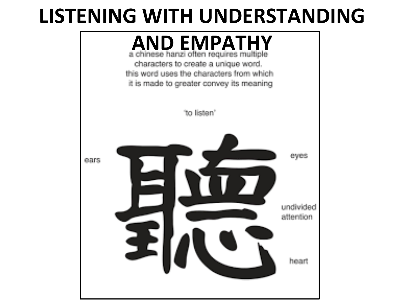#### LISTENING WITH UNDERSTANDING

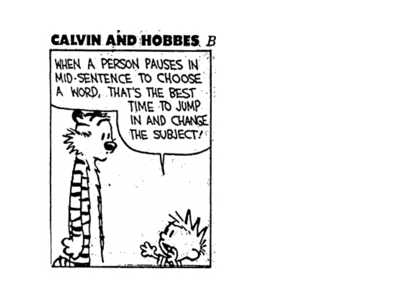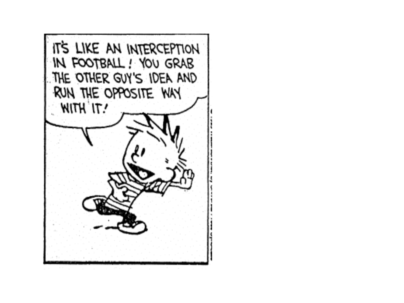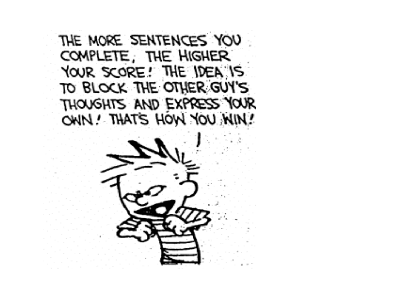THE MORE SENTENCES YOU COMPLETE, THE HIGHER YOUR SCORE! THE IDEA IS TO BLOCK THE OTHER GUY'S THOUGHTS AND EXPRESS YOUR OWN! THAT'S HOW YOU WIN!

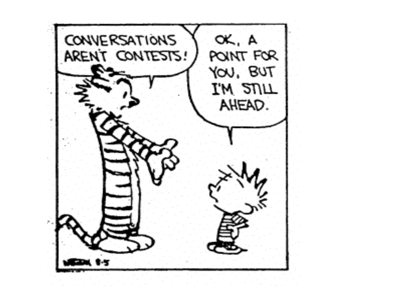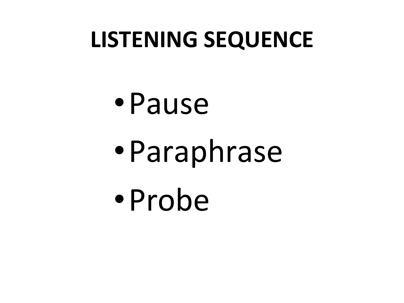### **LISTENING SEQUENCE**

•Pause •Paraphrase •Probe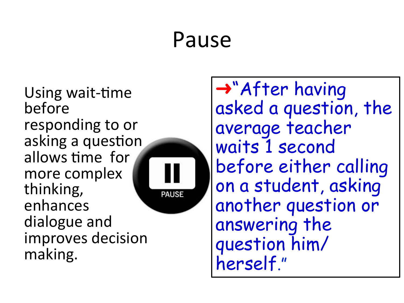#### Pause

Using wait-time before responding to or asking a question allows time for more complex thinking, enhances dialogue and improves decision making.



➜"After having asked a question, the average teacher waits 1 second before either calling on a student, asking another question or answering the question him/ herself."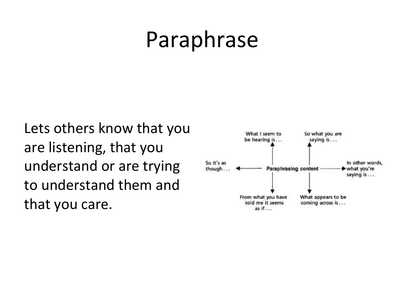### Paraphrase

Lets others know that you are listening, that you understand or are trying to understand them and that you care.

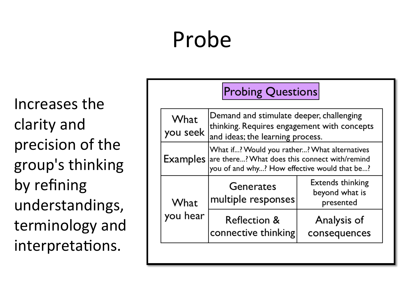## Probe

Increases the clarity and precision of the group's thinking by refining understandings, terminology and interpretations.

| <b>Probing Questions</b> |                                                                                                                                                               |                                                 |
|--------------------------|---------------------------------------------------------------------------------------------------------------------------------------------------------------|-------------------------------------------------|
| What<br>you seek         | Demand and stimulate deeper, challenging<br>thinking. Requires engagement with concepts<br>and ideas; the learning process.                                   |                                                 |
|                          | What if? Would you rather? What alternatives<br><b>Examples</b> are there? What does this connect with/remind<br>you of and why? How effective would that be? |                                                 |
| What<br>you hear         | Generates<br>multiple responses                                                                                                                               | Extends thinking<br>beyond what is<br>presented |
|                          | <b>Reflection &amp;</b><br>connective thinking                                                                                                                | Analysis of<br>consequences                     |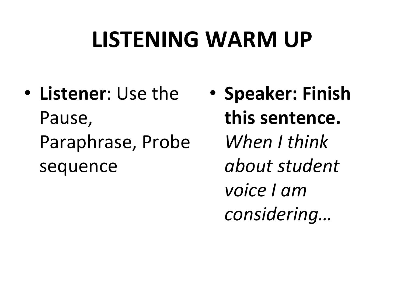## LISTENING WARM UP

- **Listener**: Use the Pause, Paraphrase, Probe sequence
- **Speaker: Finish this sentence.** *When I think about student voice I am considering…*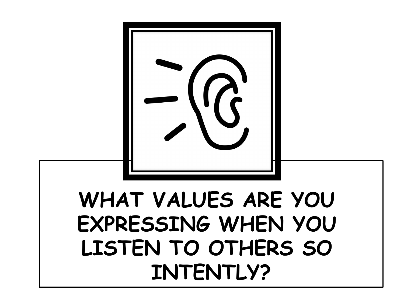

#### **WHAT VALUES ARE YOU EXPRESSING WHEN YOU LISTEN TO OTHERS SO INTENTLY?**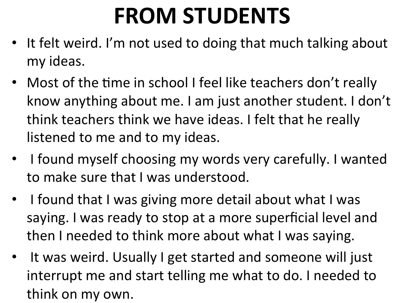## **FROM STUDENTS**

- It felt weird. I'm not used to doing that much talking about my ideas.
- Most of the time in school I feel like teachers don't really know anything about me. I am just another student. I don't think teachers think we have ideas. I felt that he really listened to me and to my ideas.
- I found myself choosing my words very carefully. I wanted to make sure that I was understood.
- I found that I was giving more detail about what I was saying. I was ready to stop at a more superficial level and then I needed to think more about what I was saying.
- It was weird. Usually I get started and someone will just interrupt me and start telling me what to do. I needed to think on my own.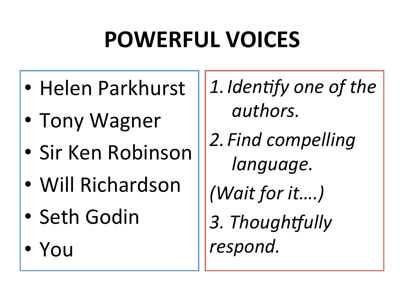# **POWERFUL VOICES**

- Helen Parkhurst
- Tony Wagner
- Sir Ken Robinson
- Will Richardson
- Seth Godin
- You

1. Identify one of the authors.

2. Find compelling language.

*(Wait for it....)* 

3. Thoughtfully respond.